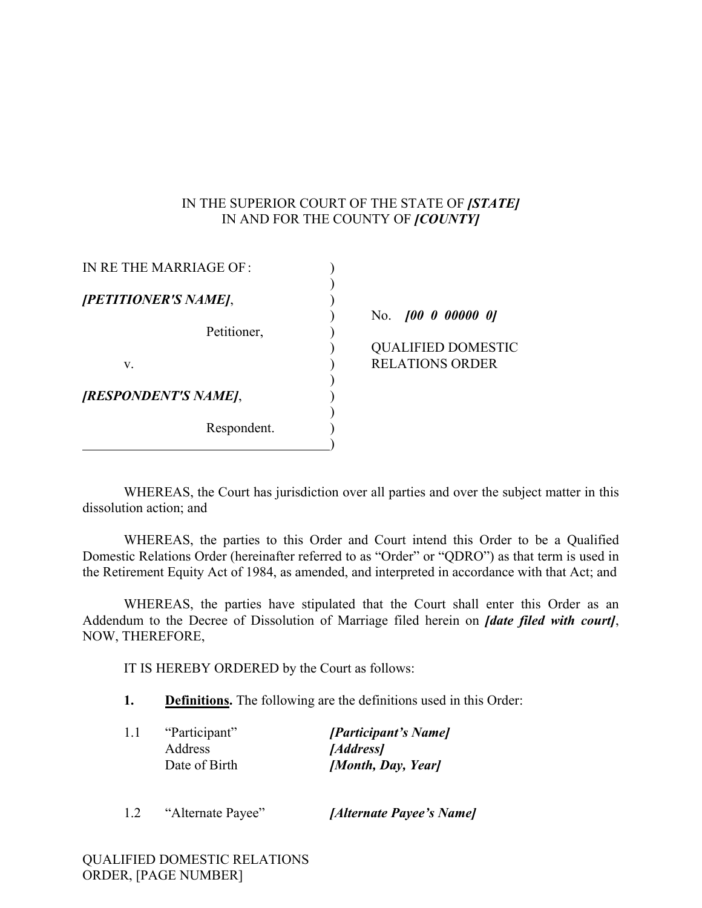## IN THE SUPERIOR COURT OF THE STATE OF *[STATE]* IN AND FOR THE COUNTY OF *[COUNTY]*

| IN RE THE MARRIAGE OF: |           |
|------------------------|-----------|
| [PETITIONER'S NAME],   |           |
|                        | N٥        |
| Petitioner,            |           |
|                        | ζſ        |
| V.                     | <b>RF</b> |
|                        |           |
| [RESPONDENT'S NAME],   |           |
|                        |           |
| Respondent.            |           |
|                        |           |

) No. *[00 0 00000 0]*

JALIFIED DOMESTIC LATIONS ORDER

WHEREAS, the Court has jurisdiction over all parties and over the subject matter in this dissolution action; and

WHEREAS, the parties to this Order and Court intend this Order to be a Qualified Domestic Relations Order (hereinafter referred to as "Order" or "QDRO") as that term is used in the Retirement Equity Act of 1984, as amended, and interpreted in accordance with that Act; and

WHEREAS, the parties have stipulated that the Court shall enter this Order as an Addendum to the Decree of Dissolution of Marriage filed herein on *[date filed with court]*, NOW, THEREFORE,

IT IS HEREBY ORDERED by the Court as follows:

**1. Definitions.** The following are the definitions used in this Order:

| 1.1 | "Participant" | [Participant's Name] |
|-----|---------------|----------------------|
|     | Address       | [ <i>Address</i> ]   |
|     | Date of Birth | [Month, Day, Year]   |
|     |               |                      |

1.2 "Alternate Payee" *[Alternate Payee's Name]*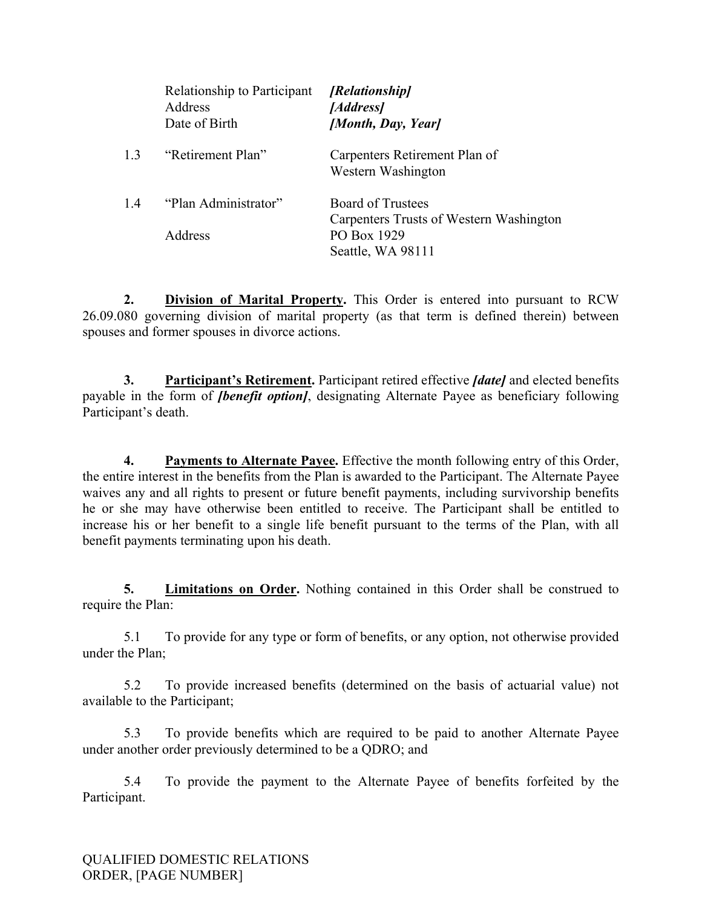|     | Relationship to Participant<br>Address<br>Date of Birth | [Relationship]<br>[Address]<br>[Month, Day, Year]                                                       |
|-----|---------------------------------------------------------|---------------------------------------------------------------------------------------------------------|
| 1.3 | "Retirement Plan"                                       | Carpenters Retirement Plan of<br>Western Washington                                                     |
| 1.4 | "Plan Administrator"<br>Address                         | <b>Board of Trustees</b><br>Carpenters Trusts of Western Washington<br>PO Box 1929<br>Seattle, WA 98111 |

**2. Division of Marital Property.** This Order is entered into pursuant to RCW 26.09.080 governing division of marital property (as that term is defined therein) between spouses and former spouses in divorce actions.

**3. Participant's Retirement.** Participant retired effective *[date]* and elected benefits payable in the form of *[benefit option]*, designating Alternate Payee as beneficiary following Participant's death.

**4. Payments to Alternate Payee.** Effective the month following entry of this Order, the entire interest in the benefits from the Plan is awarded to the Participant. The Alternate Payee waives any and all rights to present or future benefit payments, including survivorship benefits he or she may have otherwise been entitled to receive. The Participant shall be entitled to increase his or her benefit to a single life benefit pursuant to the terms of the Plan, with all benefit payments terminating upon his death.

**5. Limitations on Order.** Nothing contained in this Order shall be construed to require the Plan:

5.1 To provide for any type or form of benefits, or any option, not otherwise provided under the Plan;

5.2 To provide increased benefits (determined on the basis of actuarial value) not available to the Participant;

5.3 To provide benefits which are required to be paid to another Alternate Payee under another order previously determined to be a QDRO; and

5.4 To provide the payment to the Alternate Payee of benefits forfeited by the Participant.